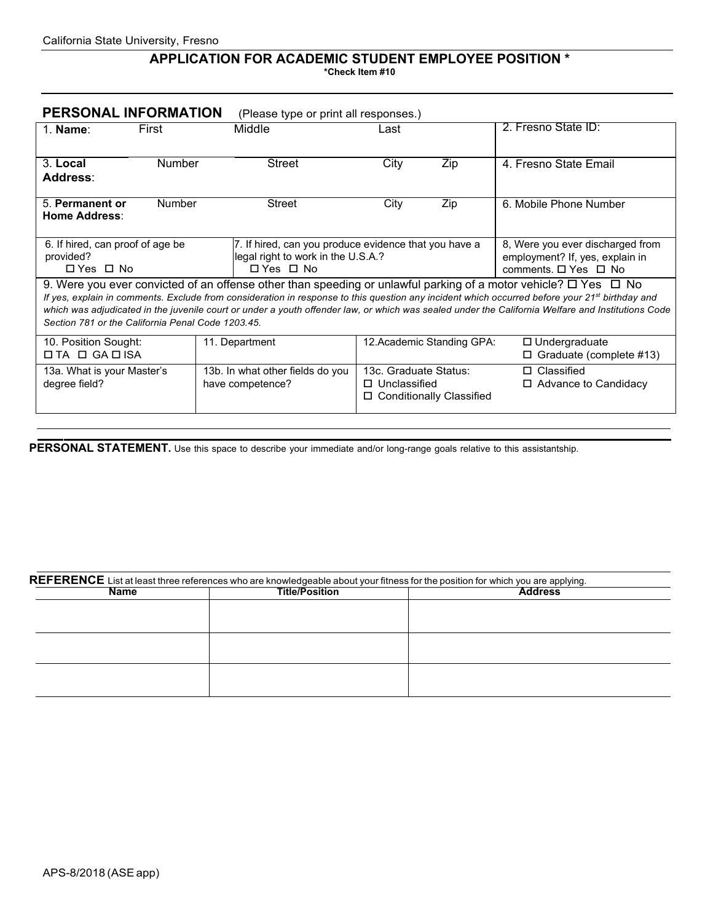## **APPLICATION FOR ACADEMIC STUDENT EMPLOYEE POSITION \* \*Check Item #10**

| PERSONAL INFORMATION                                                                                                                                                                                                                                                                                                                                                                                                                                                                              | (Please type or print all responses.)                                                                     |                                              |                            |                                                                                             |  |  |  |  |
|---------------------------------------------------------------------------------------------------------------------------------------------------------------------------------------------------------------------------------------------------------------------------------------------------------------------------------------------------------------------------------------------------------------------------------------------------------------------------------------------------|-----------------------------------------------------------------------------------------------------------|----------------------------------------------|----------------------------|---------------------------------------------------------------------------------------------|--|--|--|--|
| First<br>$1.$ Name:                                                                                                                                                                                                                                                                                                                                                                                                                                                                               | Middle                                                                                                    | Last                                         |                            | 2. Fresno State ID:                                                                         |  |  |  |  |
| 3. Local<br><b>Number</b><br>Address:                                                                                                                                                                                                                                                                                                                                                                                                                                                             | <b>Street</b>                                                                                             | City                                         | Zip                        | 4. Fresno State Email                                                                       |  |  |  |  |
| <b>Number</b><br>5. Permanent or<br>Home Address:                                                                                                                                                                                                                                                                                                                                                                                                                                                 | <b>Street</b>                                                                                             | City                                         | Zip                        | 6. Mobile Phone Number                                                                      |  |  |  |  |
| 6. If hired, can proof of age be<br>provided?<br>□ Yes □ No                                                                                                                                                                                                                                                                                                                                                                                                                                       | 7. If hired, can you produce evidence that you have a<br>legal right to work in the U.S.A.?<br>□ Yes □ No |                                              |                            | 8, Were you ever discharged from<br>employment? If, yes, explain in<br>comments. □ Yes □ No |  |  |  |  |
| 9. Were you ever convicted of an offense other than speeding or unlawful parking of a motor vehicle? $\Box$ Yes $\Box$ No<br>If yes, explain in comments. Exclude from consideration in response to this question any incident which occurred before your 21 <sup>st</sup> birthday and<br>which was adjudicated in the juvenile court or under a youth offender law, or which was sealed under the California Welfare and Institutions Code<br>Section 781 or the California Penal Code 1203.45. |                                                                                                           |                                              |                            |                                                                                             |  |  |  |  |
| 10. Position Sought:<br>$\Box$ TA $\Box$ GA $\Box$ ISA                                                                                                                                                                                                                                                                                                                                                                                                                                            | 11. Department                                                                                            |                                              | 12. Academic Standing GPA: | $\Box$ Undergraduate<br>$\Box$ Graduate (complete #13)                                      |  |  |  |  |
| 13a. What is your Master's<br>degree field?                                                                                                                                                                                                                                                                                                                                                                                                                                                       | 13b. In what other fields do you<br>have competence?                                                      | 13c. Graduate Status:<br>$\Box$ Unclassified | □ Conditionally Classified | $\Box$ Classified<br>$\Box$ Advance to Candidacy                                            |  |  |  |  |

PERSONAL STATEMENT. Use this space to describe your immediate and/or long-range goals relative to this assistantship.

| $\sf{REFERENCE}$ List at least three references who are knowledgeable about your fitness for the position for which you are applying. |                       |                |  |  |  |  |
|---------------------------------------------------------------------------------------------------------------------------------------|-----------------------|----------------|--|--|--|--|
| Name                                                                                                                                  | <b>Title/Position</b> | <b>Address</b> |  |  |  |  |
|                                                                                                                                       |                       |                |  |  |  |  |
|                                                                                                                                       |                       |                |  |  |  |  |
|                                                                                                                                       |                       |                |  |  |  |  |
|                                                                                                                                       |                       |                |  |  |  |  |
|                                                                                                                                       |                       |                |  |  |  |  |
|                                                                                                                                       |                       |                |  |  |  |  |
|                                                                                                                                       |                       |                |  |  |  |  |
|                                                                                                                                       |                       |                |  |  |  |  |